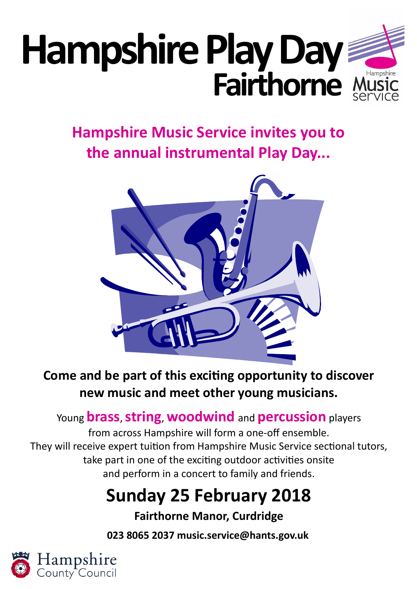# **Hampshire Play Day Fairthorne**

# **Hampshire Music Service invites you to the annual instrumental Play Day...**



# **Come and be part of this exciting opportunity to discover new music and meet other young musicians.**

## Young **brass**, **string**, **woodwind** and **percussion** players

from across Hampshire will form a one-off ensemble. They will receive expert tuition from Hampshire Music Service sectional tutors, take part in one of the exciting outdoor activities onsite and perform in a concert to family and friends.

# **Sunday 25 February 2018**

## **Fairthorne Manor, Curdridge**

**023 8065 2037 music.service@hants.gov.uk**